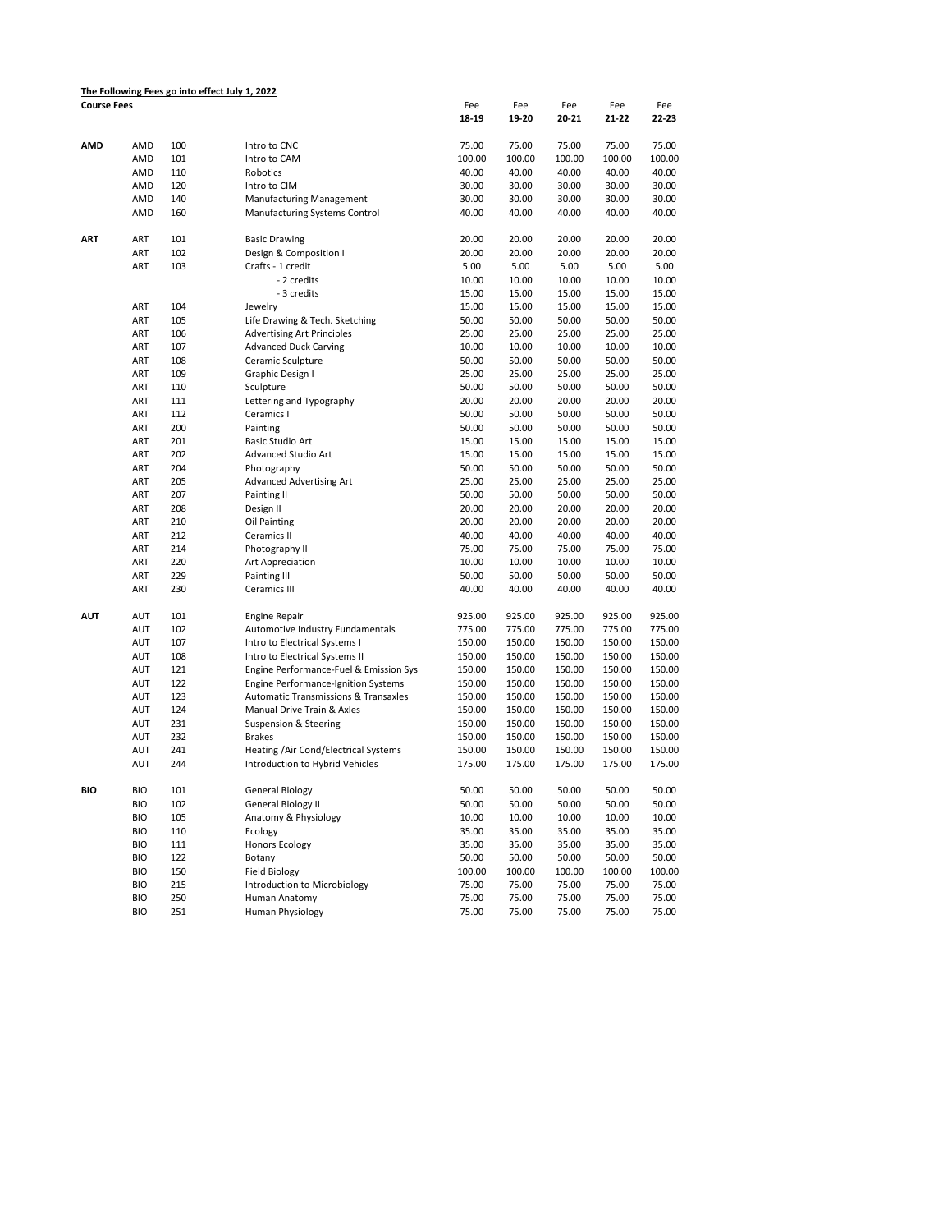|                    |            |     | The Following Fees go into effect July 1, 2022  |        |        |        |        |        |
|--------------------|------------|-----|-------------------------------------------------|--------|--------|--------|--------|--------|
| <b>Course Fees</b> |            |     |                                                 | Fee    | Fee    | Fee    | Fee    | Fee    |
|                    |            |     |                                                 | 18-19  | 19-20  | 20-21  | 21-22  | 22-23  |
| AMD                | AMD        | 100 | Intro to CNC                                    | 75.00  | 75.00  | 75.00  | 75.00  | 75.00  |
|                    | AMD        | 101 | Intro to CAM                                    | 100.00 | 100.00 | 100.00 | 100.00 | 100.00 |
|                    | AMD        | 110 | Robotics                                        | 40.00  | 40.00  | 40.00  | 40.00  | 40.00  |
|                    | AMD        | 120 | Intro to CIM                                    | 30.00  | 30.00  | 30.00  | 30.00  | 30.00  |
|                    | AMD        | 140 | Manufacturing Management                        | 30.00  | 30.00  | 30.00  | 30.00  | 30.00  |
|                    | AMD        | 160 | Manufacturing Systems Control                   | 40.00  | 40.00  | 40.00  | 40.00  | 40.00  |
| ART                | ART        | 101 | <b>Basic Drawing</b>                            | 20.00  | 20.00  | 20.00  | 20.00  | 20.00  |
|                    | ART        | 102 | Design & Composition I                          | 20.00  | 20.00  | 20.00  | 20.00  | 20.00  |
|                    | ART        | 103 | Crafts - 1 credit                               | 5.00   | 5.00   | 5.00   | 5.00   | 5.00   |
|                    |            |     | - 2 credits                                     | 10.00  | 10.00  | 10.00  | 10.00  | 10.00  |
|                    |            |     | - 3 credits                                     | 15.00  | 15.00  | 15.00  | 15.00  | 15.00  |
|                    | ART        | 104 | Jewelry                                         | 15.00  | 15.00  | 15.00  | 15.00  | 15.00  |
|                    | ART        | 105 | Life Drawing & Tech. Sketching                  | 50.00  | 50.00  | 50.00  | 50.00  | 50.00  |
|                    | ART        | 106 | <b>Advertising Art Principles</b>               | 25.00  | 25.00  | 25.00  | 25.00  | 25.00  |
|                    | ART        | 107 | <b>Advanced Duck Carving</b>                    | 10.00  | 10.00  | 10.00  | 10.00  | 10.00  |
|                    | ART        | 108 | Ceramic Sculpture                               | 50.00  | 50.00  | 50.00  | 50.00  | 50.00  |
|                    | ART        | 109 | Graphic Design I                                | 25.00  | 25.00  | 25.00  | 25.00  | 25.00  |
|                    | ART        | 110 | Sculpture                                       | 50.00  | 50.00  | 50.00  | 50.00  | 50.00  |
|                    | ART        | 111 | Lettering and Typography                        | 20.00  | 20.00  | 20.00  | 20.00  | 20.00  |
|                    | ART        | 112 | Ceramics I                                      | 50.00  | 50.00  | 50.00  | 50.00  | 50.00  |
|                    | ART        | 200 | Painting                                        | 50.00  | 50.00  | 50.00  | 50.00  | 50.00  |
|                    | ART        | 201 | Basic Studio Art                                | 15.00  | 15.00  | 15.00  | 15.00  | 15.00  |
|                    | ART        | 202 | Advanced Studio Art                             | 15.00  | 15.00  | 15.00  | 15.00  | 15.00  |
|                    | ART        | 204 | Photography                                     | 50.00  | 50.00  | 50.00  | 50.00  | 50.00  |
|                    | ART        | 205 | Advanced Advertising Art                        | 25.00  | 25.00  | 25.00  | 25.00  | 25.00  |
|                    | ART        | 207 | Painting II                                     | 50.00  | 50.00  | 50.00  | 50.00  | 50.00  |
|                    | ART        | 208 | Design II                                       | 20.00  | 20.00  | 20.00  | 20.00  | 20.00  |
|                    | ART        | 210 | Oil Painting                                    | 20.00  | 20.00  | 20.00  | 20.00  | 20.00  |
|                    | ART        | 212 | Ceramics II                                     | 40.00  | 40.00  | 40.00  | 40.00  | 40.00  |
|                    | ART        | 214 | Photography II                                  | 75.00  | 75.00  | 75.00  | 75.00  | 75.00  |
|                    | ART        | 220 | Art Appreciation                                | 10.00  | 10.00  | 10.00  | 10.00  | 10.00  |
|                    | ART        | 229 | Painting III                                    | 50.00  | 50.00  | 50.00  | 50.00  | 50.00  |
|                    | ART        | 230 | Ceramics III                                    | 40.00  | 40.00  | 40.00  | 40.00  | 40.00  |
| <b>AUT</b>         | AUT        | 101 | <b>Engine Repair</b>                            | 925.00 | 925.00 | 925.00 | 925.00 | 925.00 |
|                    | AUT        | 102 | Automotive Industry Fundamentals                | 775.00 | 775.00 | 775.00 | 775.00 | 775.00 |
|                    | AUT        | 107 | Intro to Electrical Systems I                   | 150.00 | 150.00 | 150.00 | 150.00 | 150.00 |
|                    | AUT        | 108 | Intro to Electrical Systems II                  | 150.00 | 150.00 | 150.00 | 150.00 | 150.00 |
|                    | AUT        | 121 | Engine Performance-Fuel & Emission Sys          | 150.00 | 150.00 | 150.00 | 150.00 | 150.00 |
|                    | AUT        | 122 | <b>Engine Performance-Ignition Systems</b>      | 150.00 | 150.00 | 150.00 | 150.00 | 150.00 |
|                    | AUT        | 123 | <b>Automatic Transmissions &amp; Transaxles</b> | 150.00 | 150.00 | 150.00 | 150.00 | 150.00 |
|                    | AUT        | 124 | Manual Drive Train & Axles                      | 150.00 | 150.00 | 150.00 | 150.00 | 150.00 |
|                    | AUT        | 231 | Suspension & Steering                           | 150.00 | 150.00 | 150.00 | 150.00 | 150.00 |
|                    | AUT        | 232 | <b>Brakes</b>                                   | 150.00 | 150.00 | 150.00 | 150.00 | 150.00 |
|                    | AUT        | 241 | Heating /Air Cond/Electrical Systems            | 150.00 | 150.00 | 150.00 | 150.00 | 150.00 |
|                    | AUT        | 244 | Introduction to Hybrid Vehicles                 | 175.00 | 175.00 | 175.00 | 175.00 | 175.00 |
| BIO                | <b>BIO</b> | 101 | General Biology                                 | 50.00  | 50.00  | 50.00  | 50.00  | 50.00  |
|                    | <b>BIO</b> | 102 | General Biology II                              | 50.00  | 50.00  | 50.00  | 50.00  | 50.00  |
|                    | <b>BIO</b> | 105 | Anatomy & Physiology                            | 10.00  | 10.00  | 10.00  | 10.00  | 10.00  |
|                    | <b>BIO</b> | 110 | Ecology                                         | 35.00  | 35.00  | 35.00  | 35.00  | 35.00  |
|                    | <b>BIO</b> | 111 | <b>Honors Ecology</b>                           | 35.00  | 35.00  | 35.00  | 35.00  | 35.00  |
|                    | <b>BIO</b> | 122 | Botany                                          | 50.00  | 50.00  | 50.00  | 50.00  | 50.00  |
|                    | <b>BIO</b> | 150 | <b>Field Biology</b>                            | 100.00 | 100.00 | 100.00 | 100.00 | 100.00 |
|                    | <b>BIO</b> | 215 | Introduction to Microbiology                    | 75.00  | 75.00  | 75.00  | 75.00  | 75.00  |
|                    | <b>BIO</b> | 250 | Human Anatomy                                   | 75.00  | 75.00  | 75.00  | 75.00  | 75.00  |
|                    | <b>BIO</b> | 251 | Human Physiology                                | 75.00  | 75.00  | 75.00  | 75.00  | 75.00  |
|                    |            |     |                                                 |        |        |        |        |        |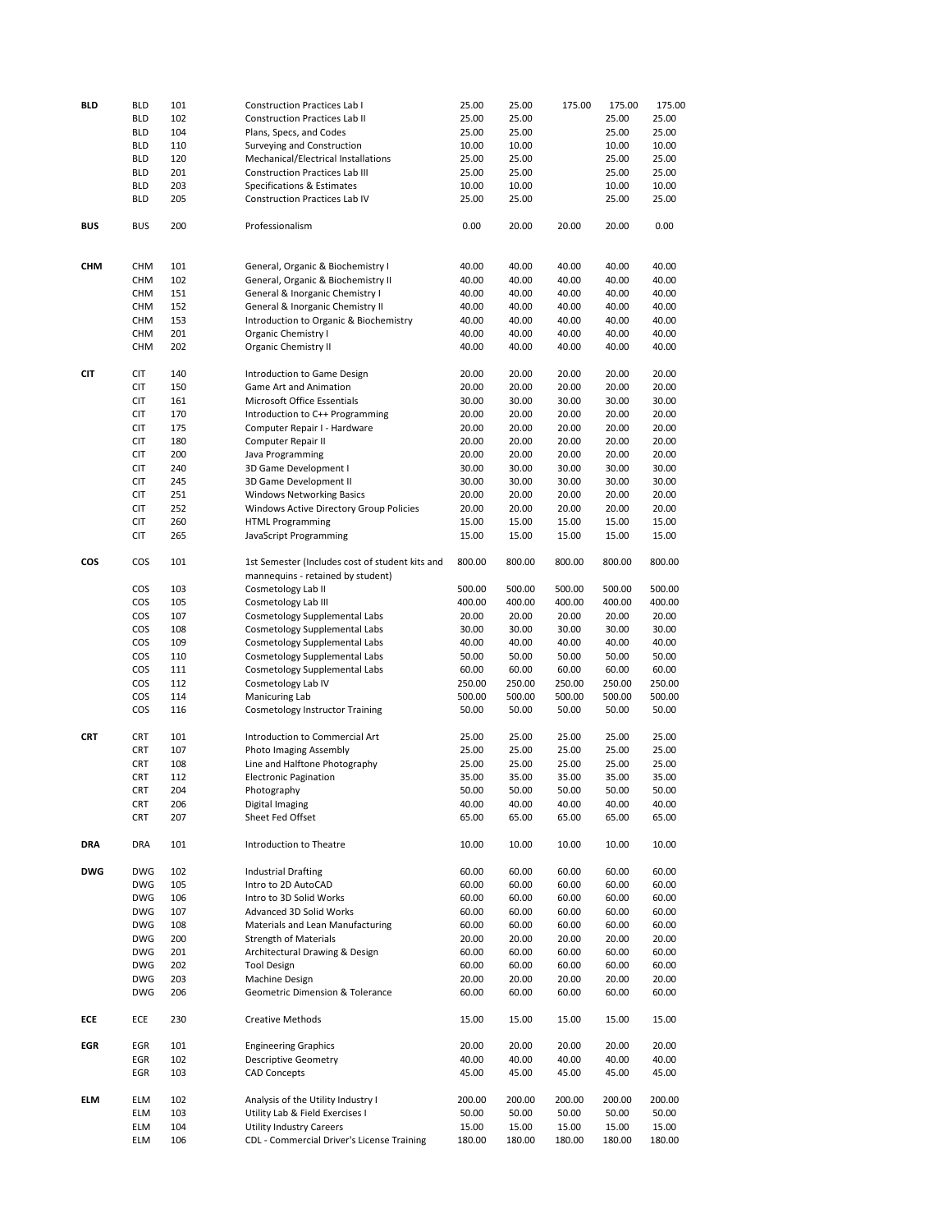| <b>BLD</b> | <b>BLD</b>        | 101        | <b>Construction Practices Lab I</b>                                                  | 25.00          | 25.00          | 175.00         | 175.00         | 175.00         |
|------------|-------------------|------------|--------------------------------------------------------------------------------------|----------------|----------------|----------------|----------------|----------------|
|            | <b>BLD</b>        | 102        | <b>Construction Practices Lab II</b>                                                 | 25.00          | 25.00          |                | 25.00          | 25.00          |
|            | <b>BLD</b>        | 104        | Plans, Specs, and Codes                                                              | 25.00          | 25.00          |                | 25.00          | 25.00          |
|            |                   |            |                                                                                      |                |                |                |                |                |
|            | <b>BLD</b>        | 110        | Surveying and Construction                                                           | 10.00          | 10.00          |                | 10.00          | 10.00          |
|            | <b>BLD</b>        | 120        | Mechanical/Electrical Installations                                                  | 25.00          | 25.00          |                | 25.00          | 25.00          |
|            | <b>BLD</b>        | 201        | <b>Construction Practices Lab III</b>                                                | 25.00          | 25.00          |                | 25.00          | 25.00          |
|            | <b>BLD</b>        | 203        | Specifications & Estimates                                                           | 10.00          | 10.00          |                | 10.00          | 10.00          |
|            | <b>BLD</b>        | 205        | Construction Practices Lab IV                                                        | 25.00          | 25.00          |                | 25.00          | 25.00          |
| <b>BUS</b> | <b>BUS</b>        | 200        | Professionalism                                                                      | 0.00           | 20.00          | 20.00          | 20.00          | 0.00           |
|            |                   |            |                                                                                      |                |                |                |                |                |
| CHM        | <b>CHM</b>        | 101        | General, Organic & Biochemistry I                                                    | 40.00          | 40.00          | 40.00          | 40.00          | 40.00          |
|            | <b>CHM</b>        | 102        | General, Organic & Biochemistry II                                                   | 40.00          | 40.00          | 40.00          | 40.00          | 40.00          |
|            | CHM               | 151        | General & Inorganic Chemistry I                                                      | 40.00          | 40.00          | 40.00          | 40.00          | 40.00          |
|            | CHM               | 152        | General & Inorganic Chemistry II                                                     | 40.00          | 40.00          | 40.00          | 40.00          | 40.00          |
|            | CHM               | 153        | Introduction to Organic & Biochemistry                                               | 40.00          | 40.00          | 40.00          | 40.00          | 40.00          |
|            | <b>CHM</b>        | 201        | Organic Chemistry I                                                                  | 40.00          | 40.00          | 40.00          | 40.00          | 40.00          |
|            | <b>CHM</b>        | 202        | Organic Chemistry II                                                                 | 40.00          | 40.00          | 40.00          | 40.00          | 40.00          |
| <b>CIT</b> | <b>CIT</b>        | 140        | Introduction to Game Design                                                          | 20.00          | 20.00          | 20.00          | 20.00          | 20.00          |
|            | <b>CIT</b>        | 150        | Game Art and Animation                                                               | 20.00          | 20.00          | 20.00          | 20.00          | 20.00          |
|            | <b>CIT</b>        | 161        | Microsoft Office Essentials                                                          | 30.00          | 30.00          | 30.00          | 30.00          | 30.00          |
|            | <b>CIT</b>        | 170        | Introduction to C++ Programming                                                      | 20.00          | 20.00          | 20.00          | 20.00          | 20.00          |
|            | <b>CIT</b>        | 175        | Computer Repair I - Hardware                                                         | 20.00          | 20.00          | 20.00          | 20.00          | 20.00          |
|            |                   |            |                                                                                      |                |                |                |                |                |
|            | <b>CIT</b>        | 180        | Computer Repair II                                                                   | 20.00          | 20.00          | 20.00          | 20.00          | 20.00          |
|            | <b>CIT</b>        | 200        | Java Programming                                                                     | 20.00          | 20.00          | 20.00          | 20.00          | 20.00          |
|            | <b>CIT</b>        | 240        | 3D Game Development I                                                                | 30.00          | 30.00          | 30.00          | 30.00          | 30.00          |
|            | <b>CIT</b>        | 245        | 3D Game Development II                                                               | 30.00          | 30.00          | 30.00          | 30.00          | 30.00          |
|            | <b>CIT</b>        | 251        | <b>Windows Networking Basics</b>                                                     | 20.00          | 20.00          | 20.00          | 20.00          | 20.00          |
|            | <b>CIT</b>        | 252        | Windows Active Directory Group Policies                                              | 20.00          | 20.00          | 20.00          | 20.00          | 20.00          |
|            | <b>CIT</b>        | 260        | <b>HTML Programming</b>                                                              | 15.00          | 15.00          | 15.00          | 15.00          | 15.00          |
|            |                   |            |                                                                                      |                |                |                |                |                |
|            | <b>CIT</b>        | 265        | JavaScript Programming                                                               | 15.00          | 15.00          | 15.00          | 15.00          | 15.00          |
| cos        | COS               | 101        | 1st Semester (Includes cost of student kits and<br>mannequins - retained by student) | 800.00         | 800.00         | 800.00         | 800.00         | 800.00         |
|            | COS               | 103        | Cosmetology Lab II                                                                   | 500.00         | 500.00         | 500.00         | 500.00         | 500.00         |
|            | COS               | 105        | Cosmetology Lab III                                                                  | 400.00         | 400.00         | 400.00         | 400.00         | 400.00         |
|            | <b>COS</b>        | 107        | Cosmetology Supplemental Labs                                                        | 20.00          | 20.00          | 20.00          | 20.00          | 20.00          |
|            | COS               | 108        | Cosmetology Supplemental Labs                                                        | 30.00          | 30.00          | 30.00          | 30.00          | 30.00          |
|            | COS               | 109        | Cosmetology Supplemental Labs                                                        | 40.00          | 40.00          | 40.00          | 40.00          | 40.00          |
|            | COS               | 110        |                                                                                      | 50.00          | 50.00          | 50.00          | 50.00          | 50.00          |
|            |                   |            | Cosmetology Supplemental Labs                                                        |                |                |                |                |                |
|            | COS               | 111        | Cosmetology Supplemental Labs                                                        | 60.00          | 60.00          | 60.00          | 60.00          | 60.00          |
|            | COS               | 112        | Cosmetology Lab IV                                                                   | 250.00         | 250.00         | 250.00         | 250.00         | 250.00         |
|            | COS               | 114        | Manicuring Lab                                                                       | 500.00         | 500.00         | 500.00         | 500.00         | 500.00         |
|            | COS               | 116        | <b>Cosmetology Instructor Training</b>                                               | 50.00          | 50.00          | 50.00          | 50.00          | 50.00          |
| <b>CRT</b> | <b>CRT</b>        | 101        | Introduction to Commercial Art                                                       | 25.00          | 25.00          | 25.00          | 25.00          | 25.00          |
|            | <b>CRT</b>        | 107        | Photo Imaging Assembly                                                               | 25.00          | 25.00          | 25.00          | 25.00          | 25.00          |
|            | <b>CRT</b>        | 108        | Line and Halftone Photography                                                        | 25.00          | 25.00          | 25.00          | 25.00          | 25.00          |
|            | <b>CRT</b>        | 112        | <b>Electronic Pagination</b>                                                         | 35.00          | 35.00          | 35.00          | 35.00          | 35.00          |
|            | <b>CRT</b>        | 204        | Photography                                                                          | 50.00          | 50.00          | 50.00          | 50.00          | 50.00          |
|            |                   |            |                                                                                      |                |                |                |                |                |
|            | <b>CRT</b><br>CRT | 206<br>207 | Digital Imaging<br>Sheet Fed Offset                                                  | 40.00<br>65.00 | 40.00<br>65.00 | 40.00<br>65.00 | 40.00<br>65.00 | 40.00<br>65.00 |
| DRA        | DRA               | 101        | Introduction to Theatre                                                              | 10.00          | 10.00          | 10.00          | 10.00          | 10.00          |
| <b>DWG</b> | <b>DWG</b>        | 102        | <b>Industrial Drafting</b>                                                           | 60.00          | 60.00          | 60.00          | 60.00          | 60.00          |
|            | <b>DWG</b>        | 105        | Intro to 2D AutoCAD                                                                  | 60.00          | 60.00          | 60.00          | 60.00          | 60.00          |
|            |                   |            |                                                                                      |                |                |                |                |                |
|            | <b>DWG</b>        | 106        | Intro to 3D Solid Works                                                              | 60.00          | 60.00          | 60.00          | 60.00          | 60.00          |
|            | <b>DWG</b>        | 107        | Advanced 3D Solid Works                                                              | 60.00          | 60.00          | 60.00          | 60.00          | 60.00          |
|            | <b>DWG</b>        | 108        | Materials and Lean Manufacturing                                                     | 60.00          | 60.00          | 60.00          | 60.00          | 60.00          |
|            | <b>DWG</b>        | 200        | <b>Strength of Materials</b>                                                         | 20.00          | 20.00          | 20.00          | 20.00          | 20.00          |
|            | <b>DWG</b>        | 201        | Architectural Drawing & Design                                                       | 60.00          | 60.00          | 60.00          | 60.00          | 60.00          |
|            | <b>DWG</b>        | 202        | <b>Tool Design</b>                                                                   | 60.00          | 60.00          | 60.00          | 60.00          | 60.00          |
|            | <b>DWG</b>        | 203        | Machine Design                                                                       | 20.00          | 20.00          | 20.00          | 20.00          | 20.00          |
|            | <b>DWG</b>        | 206        | Geometric Dimension & Tolerance                                                      | 60.00          | 60.00          | 60.00          | 60.00          | 60.00          |
| ECE        | ECE               | 230        | <b>Creative Methods</b>                                                              | 15.00          | 15.00          | 15.00          | 15.00          | 15.00          |
| EGR        | EGR               | 101        | <b>Engineering Graphics</b>                                                          | 20.00          | 20.00          | 20.00          | 20.00          | 20.00          |
|            | EGR               | 102        | <b>Descriptive Geometry</b>                                                          | 40.00          | 40.00          | 40.00          | 40.00          | 40.00          |
|            | EGR               | 103        | <b>CAD Concepts</b>                                                                  | 45.00          | 45.00          | 45.00          | 45.00          | 45.00          |
| ELM        | <b>ELM</b>        | 102        | Analysis of the Utility Industry I                                                   | 200.00         | 200.00         | 200.00         | 200.00         | 200.00         |
|            | <b>ELM</b>        | 103        | Utility Lab & Field Exercises I                                                      | 50.00          | 50.00          | 50.00          | 50.00          | 50.00          |
|            | ELM               | 104        | <b>Utility Industry Careers</b>                                                      | 15.00          | 15.00          | 15.00          | 15.00          | 15.00          |
|            | <b>ELM</b>        | 106        | CDL - Commercial Driver's License Training                                           | 180.00         | 180.00         | 180.00         | 180.00         | 180.00         |
|            |                   |            |                                                                                      |                |                |                |                |                |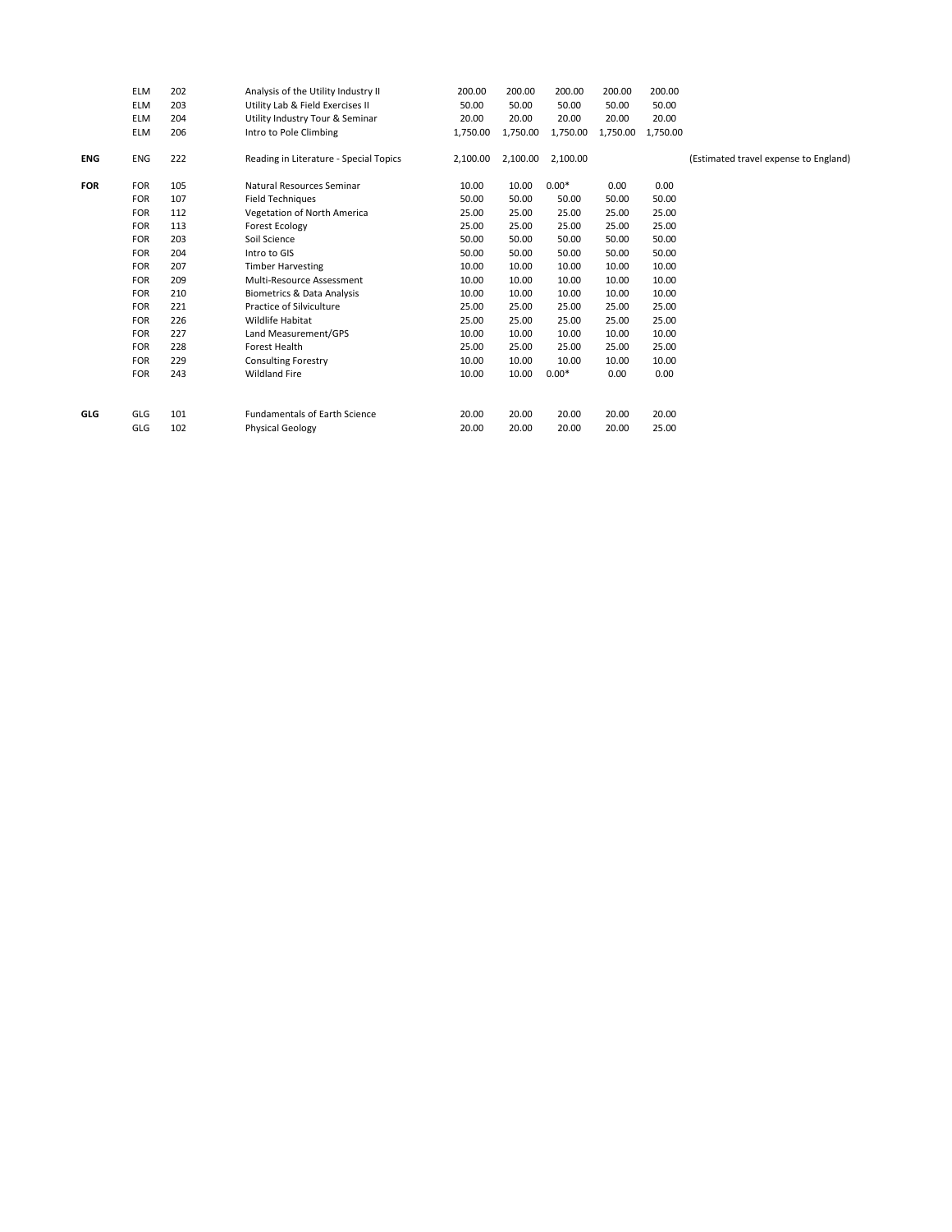|            | <b>ELM</b> | 202 | Analysis of the Utility Industry II    | 200.00   | 200.00   | 200.00   | 200.00   | 200.00   |                                       |
|------------|------------|-----|----------------------------------------|----------|----------|----------|----------|----------|---------------------------------------|
|            | <b>ELM</b> | 203 | Utility Lab & Field Exercises II       | 50.00    | 50.00    | 50.00    | 50.00    | 50.00    |                                       |
|            | <b>ELM</b> | 204 | Utility Industry Tour & Seminar        | 20.00    | 20.00    | 20.00    | 20.00    | 20.00    |                                       |
|            | <b>ELM</b> | 206 | Intro to Pole Climbing                 | 1,750.00 | 1,750.00 | 1,750.00 | 1,750.00 | 1,750.00 |                                       |
| <b>ENG</b> | <b>ENG</b> | 222 | Reading in Literature - Special Topics | 2,100.00 | 2,100.00 | 2,100.00 |          |          | (Estimated travel expense to England) |
| <b>FOR</b> | <b>FOR</b> | 105 | Natural Resources Seminar              | 10.00    | 10.00    | $0.00*$  | 0.00     | 0.00     |                                       |
|            | <b>FOR</b> | 107 | <b>Field Techniques</b>                | 50.00    | 50.00    | 50.00    | 50.00    | 50.00    |                                       |
|            | <b>FOR</b> | 112 | Vegetation of North America            | 25.00    | 25.00    | 25.00    | 25.00    | 25.00    |                                       |
|            | <b>FOR</b> | 113 | <b>Forest Ecology</b>                  | 25.00    | 25.00    | 25.00    | 25.00    | 25.00    |                                       |
|            | <b>FOR</b> | 203 | Soil Science                           | 50.00    | 50.00    | 50.00    | 50.00    | 50.00    |                                       |
|            | <b>FOR</b> | 204 | Intro to GIS                           | 50.00    | 50.00    | 50.00    | 50.00    | 50.00    |                                       |
|            | <b>FOR</b> | 207 | <b>Timber Harvesting</b>               | 10.00    | 10.00    | 10.00    | 10.00    | 10.00    |                                       |
|            | <b>FOR</b> | 209 | Multi-Resource Assessment              | 10.00    | 10.00    | 10.00    | 10.00    | 10.00    |                                       |
|            | <b>FOR</b> | 210 | <b>Biometrics &amp; Data Analysis</b>  | 10.00    | 10.00    | 10.00    | 10.00    | 10.00    |                                       |
|            | <b>FOR</b> | 221 | Practice of Silviculture               | 25.00    | 25.00    | 25.00    | 25.00    | 25.00    |                                       |
|            | <b>FOR</b> | 226 | Wildlife Habitat                       | 25.00    | 25.00    | 25.00    | 25.00    | 25.00    |                                       |
|            | <b>FOR</b> | 227 | Land Measurement/GPS                   | 10.00    | 10.00    | 10.00    | 10.00    | 10.00    |                                       |
|            | <b>FOR</b> | 228 | Forest Health                          | 25.00    | 25.00    | 25.00    | 25.00    | 25.00    |                                       |
|            | <b>FOR</b> | 229 | <b>Consulting Forestry</b>             | 10.00    | 10.00    | 10.00    | 10.00    | 10.00    |                                       |
|            | <b>FOR</b> | 243 | <b>Wildland Fire</b>                   | 10.00    | 10.00    | $0.00*$  | 0.00     | 0.00     |                                       |
|            |            |     |                                        |          |          |          |          |          |                                       |
| GLG        | GLG        | 101 | <b>Fundamentals of Earth Science</b>   | 20.00    | 20.00    | 20.00    | 20.00    | 20.00    |                                       |
|            | GLG        | 102 | <b>Physical Geology</b>                | 20.00    | 20.00    | 20.00    | 20.00    | 25.00    |                                       |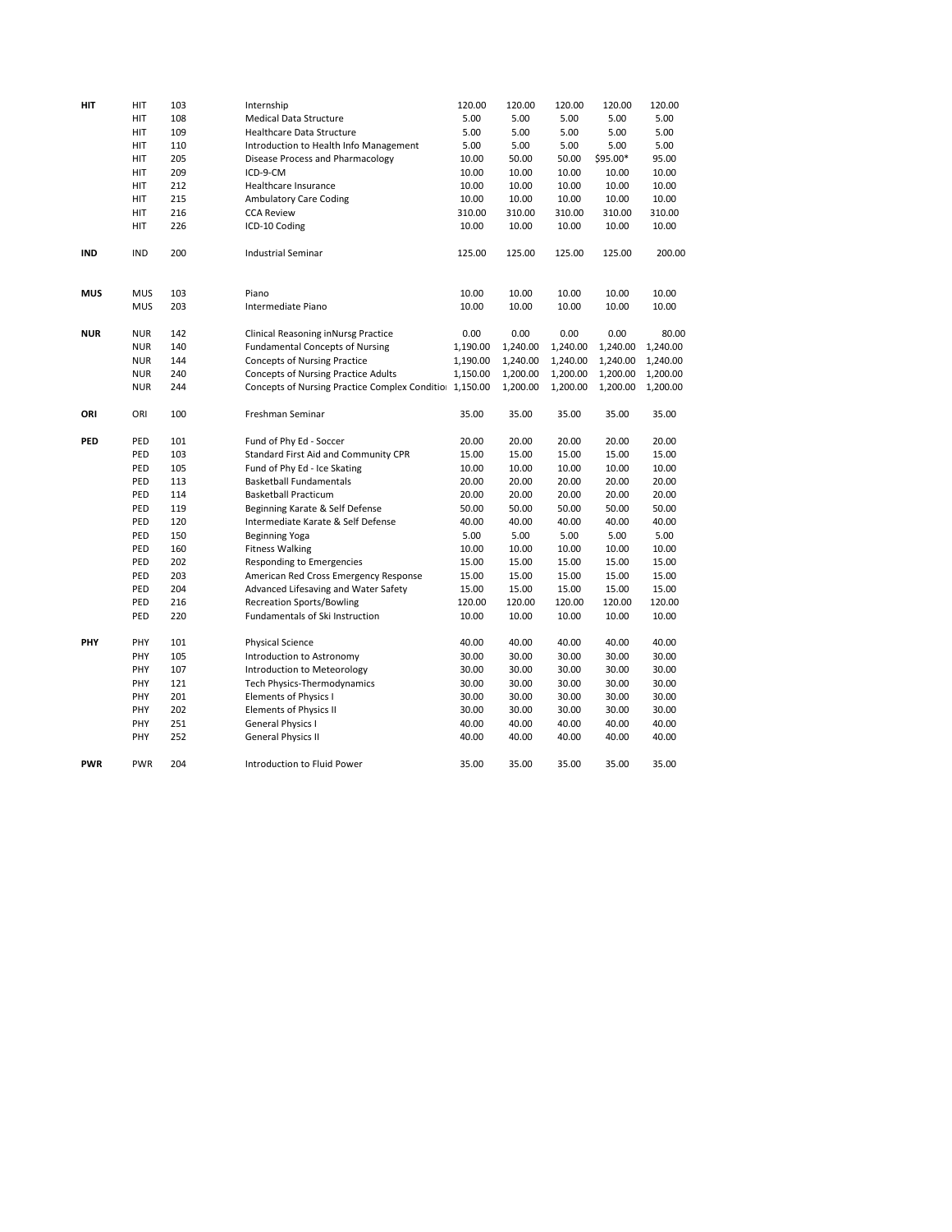| HIT        | HIT        | 103        | Internship                                                          | 120.00          | 120.00          | 120.00          | 120.00          | 120.00          |
|------------|------------|------------|---------------------------------------------------------------------|-----------------|-----------------|-----------------|-----------------|-----------------|
|            | HIT        | 108        | <b>Medical Data Structure</b>                                       | 5.00            | 5.00            | 5.00            | 5.00            | 5.00            |
|            | HIT        | 109        | Healthcare Data Structure                                           | 5.00            | 5.00            | 5.00            | 5.00            | 5.00            |
|            | HIT        | 110        | Introduction to Health Info Management                              | 5.00            | 5.00            | 5.00            | 5.00            | 5.00            |
|            | HIT        | 205        | Disease Process and Pharmacology                                    | 10.00           | 50.00           | 50.00           | \$95.00*        | 95.00           |
|            | <b>HIT</b> | 209        | ICD-9-CM                                                            | 10.00           | 10.00           | 10.00           | 10.00           | 10.00           |
|            | HIT        | 212        | Healthcare Insurance                                                | 10.00           | 10.00           | 10.00           | 10.00           | 10.00           |
|            | <b>HIT</b> | 215        | <b>Ambulatory Care Coding</b>                                       | 10.00           | 10.00           | 10.00           | 10.00           | 10.00           |
|            | HIT        | 216        | <b>CCA Review</b>                                                   | 310.00          | 310.00          | 310.00          | 310.00          | 310.00          |
|            | <b>HIT</b> | 226        | ICD-10 Coding                                                       | 10.00           | 10.00           | 10.00           | 10.00           | 10.00           |
|            |            |            |                                                                     |                 |                 |                 |                 |                 |
| <b>IND</b> | <b>IND</b> | 200        | <b>Industrial Seminar</b>                                           | 125.00          | 125.00          | 125.00          | 125.00          | 200.00          |
|            |            |            |                                                                     |                 |                 |                 |                 |                 |
|            |            |            |                                                                     |                 |                 |                 |                 |                 |
| <b>MUS</b> | <b>MUS</b> | 103        | Piano                                                               | 10.00           | 10.00           | 10.00           | 10.00           | 10.00           |
|            | <b>MUS</b> | 203        | Intermediate Piano                                                  | 10.00           | 10.00           | 10.00           | 10.00           | 10.00           |
|            |            |            |                                                                     |                 |                 |                 |                 |                 |
| <b>NUR</b> | <b>NUR</b> | 142        | Clinical Reasoning inNursg Practice                                 | 0.00            | 0.00            | 0.00            | 0.00            | 80.00           |
|            | <b>NUR</b> | 140        | <b>Fundamental Concepts of Nursing</b>                              | 1,190.00        | 1,240.00        | 1,240.00        | 1,240.00        | 1,240.00        |
|            | <b>NUR</b> | 144        | <b>Concepts of Nursing Practice</b>                                 | 1,190.00        | 1,240.00        | 1,240.00        | 1,240.00        | 1,240.00        |
|            | <b>NUR</b> | 240        | Concepts of Nursing Practice Adults                                 | 1,150.00        | 1,200.00        | 1,200.00        | 1,200.00        | 1,200.00        |
|            | <b>NUR</b> | 244        | Concepts of Nursing Practice Complex Conditio                       | 1,150.00        | 1,200.00        | 1,200.00        | 1,200.00        | 1,200.00        |
|            |            |            |                                                                     |                 |                 |                 |                 |                 |
| ORI        | ORI        | 100        | Freshman Seminar                                                    | 35.00           | 35.00           | 35.00           | 35.00           | 35.00           |
| PED        | PED        | 101        | Fund of Phy Ed - Soccer                                             | 20.00           | 20.00           | 20.00           | 20.00           | 20.00           |
|            | PED        | 103        | Standard First Aid and Community CPR                                | 15.00           | 15.00           | 15.00           | 15.00           | 15.00           |
|            | PED        | 105        | Fund of Phy Ed - Ice Skating                                        | 10.00           | 10.00           | 10.00           | 10.00           | 10.00           |
|            | PED        | 113        | <b>Basketball Fundamentals</b>                                      | 20.00           | 20.00           | 20.00           | 20.00           | 20.00           |
|            | PED        | 114        | <b>Basketball Practicum</b>                                         | 20.00           | 20.00           | 20.00           | 20.00           | 20.00           |
|            | PED        | 119        | Beginning Karate & Self Defense                                     | 50.00           | 50.00           | 50.00           | 50.00           | 50.00           |
|            | PED        | 120        |                                                                     | 40.00           | 40.00           | 40.00           | 40.00           | 40.00           |
|            |            |            | Intermediate Karate & Self Defense                                  |                 |                 |                 |                 |                 |
|            | PED        | 150        | <b>Beginning Yoga</b>                                               | 5.00            | 5.00            | 5.00            | 5.00            | 5.00            |
|            | PED        | 160        | <b>Fitness Walking</b>                                              | 10.00           | 10.00           | 10.00           | 10.00           | 10.00           |
|            | PED<br>PED | 202<br>203 | Responding to Emergencies                                           | 15.00           | 15.00<br>15.00  | 15.00<br>15.00  | 15.00<br>15.00  | 15.00<br>15.00  |
|            | PED        | 204        | American Red Cross Emergency Response                               | 15.00           |                 |                 |                 |                 |
|            | PED        | 216        | Advanced Lifesaving and Water Safety                                | 15.00<br>120.00 | 15.00<br>120.00 | 15.00<br>120.00 | 15.00<br>120.00 | 15.00<br>120.00 |
|            |            |            | <b>Recreation Sports/Bowling</b><br>Fundamentals of Ski Instruction |                 |                 |                 |                 |                 |
|            | PED        | 220        |                                                                     | 10.00           | 10.00           | 10.00           | 10.00           | 10.00           |
| PHY        | PHY        | 101        | <b>Physical Science</b>                                             | 40.00           | 40.00           | 40.00           | 40.00           | 40.00           |
|            | PHY        | 105        | Introduction to Astronomy                                           | 30.00           | 30.00           | 30.00           | 30.00           | 30.00           |
|            | PHY        | 107        | Introduction to Meteorology                                         | 30.00           | 30.00           | 30.00           | 30.00           | 30.00           |
|            | PHY        | 121        | Tech Physics-Thermodynamics                                         | 30.00           | 30.00           | 30.00           | 30.00           | 30.00           |
|            | PHY        | 201        | Elements of Physics I                                               | 30.00           | 30.00           | 30.00           | 30.00           | 30.00           |
|            | PHY        | 202        | <b>Elements of Physics II</b>                                       | 30.00           | 30.00           | 30.00           | 30.00           | 30.00           |
|            | PHY        | 251        | General Physics I                                                   | 40.00           | 40.00           | 40.00           | 40.00           | 40.00           |
|            | PHY        | 252        | <b>General Physics II</b>                                           | 40.00           | 40.00           | 40.00           | 40.00           | 40.00           |
|            |            |            |                                                                     |                 |                 |                 |                 |                 |
| <b>PWR</b> | <b>PWR</b> | 204        | Introduction to Fluid Power                                         | 35.00           | 35.00           | 35.00           | 35.00           | 35.00           |
|            |            |            |                                                                     |                 |                 |                 |                 |                 |